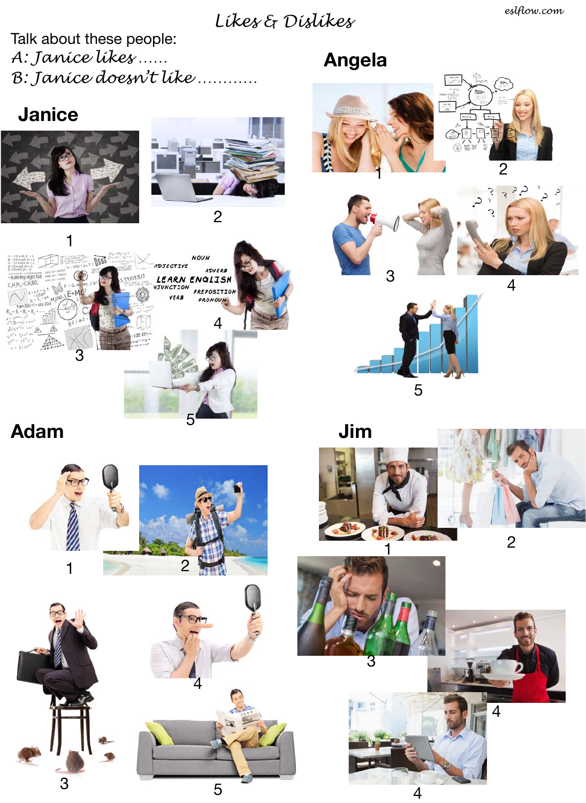## *Likes & Dislikes*

Talk about these people: *A: Janice likes …… B: Janice doesn't like …………*

## **Angela**







**Adam**

1

**Thus** 

3

**Janice**



5

2

ADVERB

PREPOSITION **PRONOUN** 

**NOUN** 

LEARN ENGLISH

ADJECTIVE

131517

4